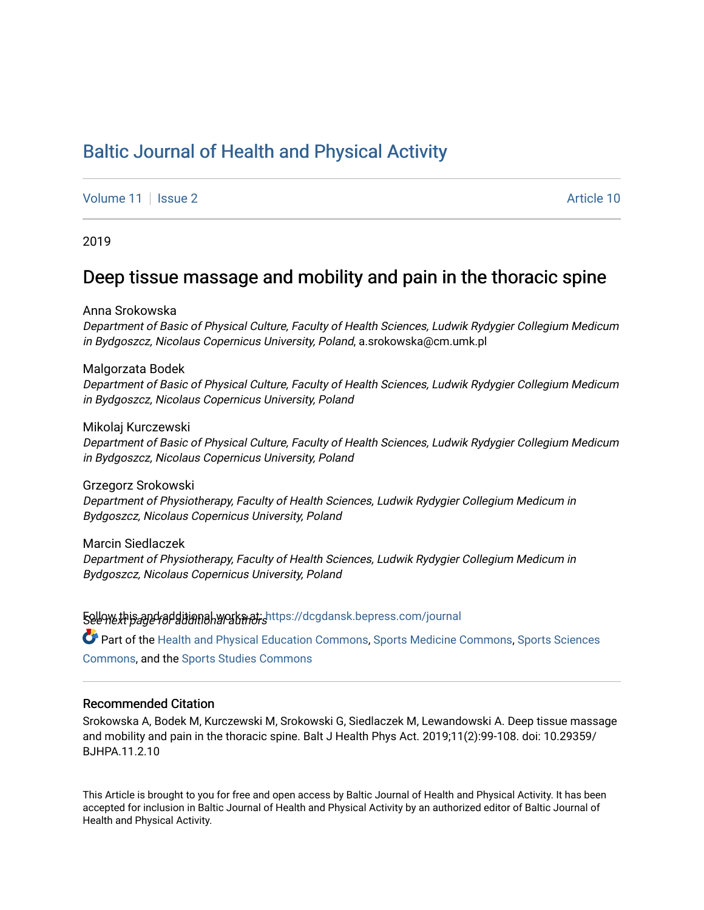# [Baltic Journal of Health and Physical Activity](https://dcgdansk.bepress.com/journal)

[Volume 11](https://dcgdansk.bepress.com/journal/vol11) | [Issue 2](https://dcgdansk.bepress.com/journal/vol11/iss2) Article 10

2019

# Deep tissue massage and mobility and pain in the thoracic spine

Anna Srokowska

Department of Basic of Physical Culture, Faculty of Health Sciences, Ludwik Rydygier Collegium Medicum in Bydgoszcz, Nicolaus Copernicus University, Poland, a.srokowska@cm.umk.pl

Malgorzata Bodek

Department of Basic of Physical Culture, Faculty of Health Sciences, Ludwik Rydygier Collegium Medicum in Bydgoszcz, Nicolaus Copernicus University, Poland

Mikolaj Kurczewski Department of Basic of Physical Culture, Faculty of Health Sciences, Ludwik Rydygier Collegium Medicum in Bydgoszcz, Nicolaus Copernicus University, Poland

Grzegorz Srokowski Department of Physiotherapy, Faculty of Health Sciences, Ludwik Rydygier Collegium Medicum in Bydgoszcz, Nicolaus Copernicus University, Poland

Marcin Siedlaczek Department of Physiotherapy, Faculty of Health Sciences, Ludwik Rydygier Collegium Medicum in Bydgoszcz, Nicolaus Copernicus University, Poland

Follow this and additional works at: [https://dcgdansk.bepress.com/journal](https://dcgdansk.bepress.com/journal?utm_source=dcgdansk.bepress.com%2Fjournal%2Fvol11%2Fiss2%2F10&utm_medium=PDF&utm_campaign=PDFCoverPages) Part of the [Health and Physical Education Commons](http://network.bepress.com/hgg/discipline/1327?utm_source=dcgdansk.bepress.com%2Fjournal%2Fvol11%2Fiss2%2F10&utm_medium=PDF&utm_campaign=PDFCoverPages), [Sports Medicine Commons,](http://network.bepress.com/hgg/discipline/1331?utm_source=dcgdansk.bepress.com%2Fjournal%2Fvol11%2Fiss2%2F10&utm_medium=PDF&utm_campaign=PDFCoverPages) [Sports Sciences](http://network.bepress.com/hgg/discipline/759?utm_source=dcgdansk.bepress.com%2Fjournal%2Fvol11%2Fiss2%2F10&utm_medium=PDF&utm_campaign=PDFCoverPages) [Commons](http://network.bepress.com/hgg/discipline/759?utm_source=dcgdansk.bepress.com%2Fjournal%2Fvol11%2Fiss2%2F10&utm_medium=PDF&utm_campaign=PDFCoverPages), and the [Sports Studies Commons](http://network.bepress.com/hgg/discipline/1198?utm_source=dcgdansk.bepress.com%2Fjournal%2Fvol11%2Fiss2%2F10&utm_medium=PDF&utm_campaign=PDFCoverPages) 

#### Recommended Citation

Srokowska A, Bodek M, Kurczewski M, Srokowski G, Siedlaczek M, Lewandowski A. Deep tissue massage and mobility and pain in the thoracic spine. Balt J Health Phys Act. 2019;11(2):99-108. doi: 10.29359/ BJHPA.11.2.10

This Article is brought to you for free and open access by Baltic Journal of Health and Physical Activity. It has been accepted for inclusion in Baltic Journal of Health and Physical Activity by an authorized editor of Baltic Journal of Health and Physical Activity.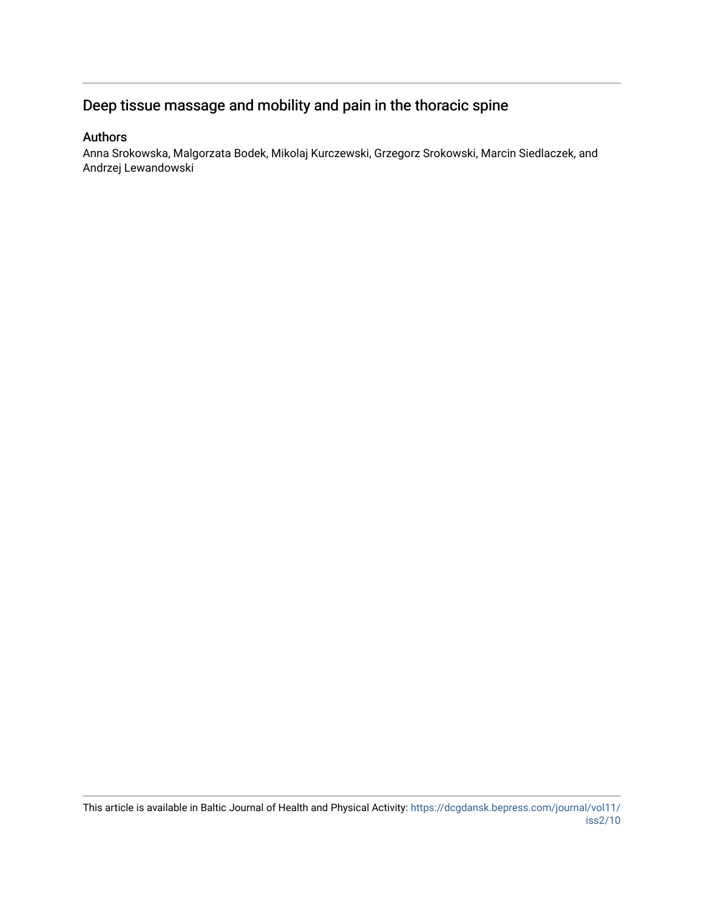# Deep tissue massage and mobility and pain in the thoracic spine

## Authors

Anna Srokowska, Malgorzata Bodek, Mikolaj Kurczewski, Grzegorz Srokowski, Marcin Siedlaczek, and Andrzej Lewandowski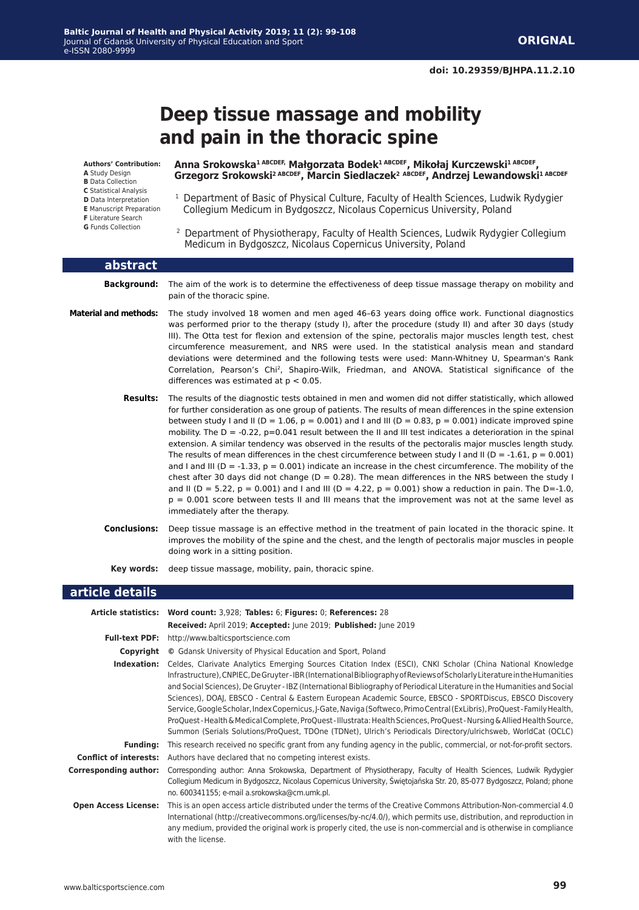# **Deep tissue massage and mobility and pain in the thoracic spine**

**Authors' Contribution:**

- **A** Study Design
- **B** Data Collection **C** Statistical Analysis
- **D** Data Interpretation
- **E** Manuscript Preparation
- **F** Literature Search
- **G** Funds Collection

**Anna Srokowska1 ABCDEF, Małgorzata Bodek1 ABCDEF, Mikołaj Kurczewski1 ABCDEF, Grzegorz Srokowski2 ABCDEF, Marcin Siedlaczek<sup>2</sup> ABCDEF, Andrzej Lewandowski1 ABCDEF**

- <sup>1</sup> Department of Basic of Physical Culture, Faculty of Health Sciences, Ludwik Rydygier Collegium Medicum in Bydgoszcz, Nicolaus Copernicus University, Poland
- <sup>2</sup> Department of Physiotherapy, Faculty of Health Sciences, Ludwik Rydygier Collegium Medicum in Bydgoszcz, Nicolaus Copernicus University, Poland

| abstract                     |                                                                                                                                                                                                                                                                                                                                                                                                                                                                                                                                                                                                                                                                                                                                                                                                                                                                                                                                                                                                                                                                                                                                                                                                   |
|------------------------------|---------------------------------------------------------------------------------------------------------------------------------------------------------------------------------------------------------------------------------------------------------------------------------------------------------------------------------------------------------------------------------------------------------------------------------------------------------------------------------------------------------------------------------------------------------------------------------------------------------------------------------------------------------------------------------------------------------------------------------------------------------------------------------------------------------------------------------------------------------------------------------------------------------------------------------------------------------------------------------------------------------------------------------------------------------------------------------------------------------------------------------------------------------------------------------------------------|
| <b>Background:</b>           | The aim of the work is to determine the effectiveness of deep tissue massage therapy on mobility and<br>pain of the thoracic spine.                                                                                                                                                                                                                                                                                                                                                                                                                                                                                                                                                                                                                                                                                                                                                                                                                                                                                                                                                                                                                                                               |
| <b>Material and methods:</b> | The study involved 18 women and men aged 46-63 years doing office work. Functional diagnostics<br>was performed prior to the therapy (study I), after the procedure (study II) and after 30 days (study<br>III). The Otta test for flexion and extension of the spine, pectoralis major muscles length test, chest<br>circumference measurement, and NRS were used. In the statistical analysis mean and standard<br>deviations were determined and the following tests were used: Mann-Whitney U, Spearman's Rank<br>Correlation, Pearson's Chi <sup>2</sup> , Shapiro-Wilk, Friedman, and ANOVA. Statistical significance of the<br>differences was estimated at $p < 0.05$ .                                                                                                                                                                                                                                                                                                                                                                                                                                                                                                                   |
| <b>Results:</b>              | The results of the diagnostic tests obtained in men and women did not differ statistically, which allowed<br>for further consideration as one group of patients. The results of mean differences in the spine extension<br>between study I and II ( $D = 1.06$ , $p = 0.001$ ) and I and III ( $D = 0.83$ , $p = 0.001$ ) indicate improved spine<br>mobility. The $D = -0.22$ , $p=0.041$ result between the II and III test indicates a deterioration in the spinal<br>extension. A similar tendency was observed in the results of the pectoralis major muscles length study.<br>The results of mean differences in the chest circumference between study I and II ( $D = -1.61$ , $p = 0.001$ )<br>and I and III ( $D = -1.33$ , $p = 0.001$ ) indicate an increase in the chest circumference. The mobility of the<br>chest after 30 days did not change ( $D = 0.28$ ). The mean differences in the NRS between the study I<br>and II ( $D = 5.22$ , $p = 0.001$ ) and I and III ( $D = 4.22$ , $p = 0.001$ ) show a reduction in pain. The D=-1.0,<br>$p = 0.001$ score between tests II and III means that the improvement was not at the same level as<br>immediately after the therapy. |
| <b>Conclusions:</b>          | Deep tissue massage is an effective method in the treatment of pain located in the thoracic spine. It<br>improves the mobility of the spine and the chest, and the length of pectoralis major muscles in people<br>doing work in a sitting position.                                                                                                                                                                                                                                                                                                                                                                                                                                                                                                                                                                                                                                                                                                                                                                                                                                                                                                                                              |
| Kev words:                   | deep tissue massage, mobility, pain, thoracic spine.                                                                                                                                                                                                                                                                                                                                                                                                                                                                                                                                                                                                                                                                                                                                                                                                                                                                                                                                                                                                                                                                                                                                              |

#### **article details**

|                               | Article statistics: Word count: 3,928; Tables: 6; Figures: 0; References: 28                                                                                                                                                                                                                                                                                                                                                                                                                                                                                                                                                                                                                                                                                                                                                                           |
|-------------------------------|--------------------------------------------------------------------------------------------------------------------------------------------------------------------------------------------------------------------------------------------------------------------------------------------------------------------------------------------------------------------------------------------------------------------------------------------------------------------------------------------------------------------------------------------------------------------------------------------------------------------------------------------------------------------------------------------------------------------------------------------------------------------------------------------------------------------------------------------------------|
|                               | Received: April 2019; Accepted: June 2019; Published: June 2019                                                                                                                                                                                                                                                                                                                                                                                                                                                                                                                                                                                                                                                                                                                                                                                        |
|                               | <b>Full-text PDF:</b> http://www.balticsportscience.com                                                                                                                                                                                                                                                                                                                                                                                                                                                                                                                                                                                                                                                                                                                                                                                                |
| Copyright                     | © Gdansk University of Physical Education and Sport, Poland                                                                                                                                                                                                                                                                                                                                                                                                                                                                                                                                                                                                                                                                                                                                                                                            |
| Indexation:                   | Celdes, Clarivate Analytics Emerging Sources Citation Index (ESCI), CNKI Scholar (China National Knowledge<br>Infrastructure), CNPIEC, De Gruyter-IBR (International Bibliography of Reviews of Scholarly Literature in the Humanities<br>and Social Sciences), De Gruyter - IBZ (International Bibliography of Periodical Literature in the Humanities and Social<br>Sciences), DOAJ, EBSCO - Central & Eastern European Academic Source, EBSCO - SPORTDiscus, EBSCO Discovery<br>Service, Google Scholar, Index Copernicus, J-Gate, Naviga (Softweco, Primo Central (ExLibris), ProQuest-Family Health,<br>ProQuest - Health & Medical Complete, ProQuest - Illustrata: Health Sciences, ProQuest - Nursing & Allied Health Source,<br>Summon (Serials Solutions/ProQuest, TDOne (TDNet), Ulrich's Periodicals Directory/ulrichsweb, WorldCat (OCLC) |
| <b>Funding:</b>               | This research received no specific grant from any funding agency in the public, commercial, or not-for-profit sectors.                                                                                                                                                                                                                                                                                                                                                                                                                                                                                                                                                                                                                                                                                                                                 |
| <b>Conflict of interests:</b> | Authors have declared that no competing interest exists.                                                                                                                                                                                                                                                                                                                                                                                                                                                                                                                                                                                                                                                                                                                                                                                               |
| <b>Corresponding author:</b>  | Corresponding author: Anna Srokowska, Department of Physiotherapy, Faculty of Health Sciences, Ludwik Rydygier<br>Collegium Medicum in Bydgoszcz, Nicolaus Copernicus University, Świętojańska Str. 20, 85-077 Bydgoszcz, Poland; phone<br>no. 600341155; e-mail a.srokowska@cm.umk.pl.                                                                                                                                                                                                                                                                                                                                                                                                                                                                                                                                                                |
| <b>Open Access License:</b>   | This is an open access article distributed under the terms of the Creative Commons Attribution-Non-commercial 4.0<br>International (http://creativecommons.org/licenses/by-nc/4.0/), which permits use, distribution, and reproduction in<br>any medium, provided the original work is properly cited, the use is non-commercial and is otherwise in compliance<br>with the license.                                                                                                                                                                                                                                                                                                                                                                                                                                                                   |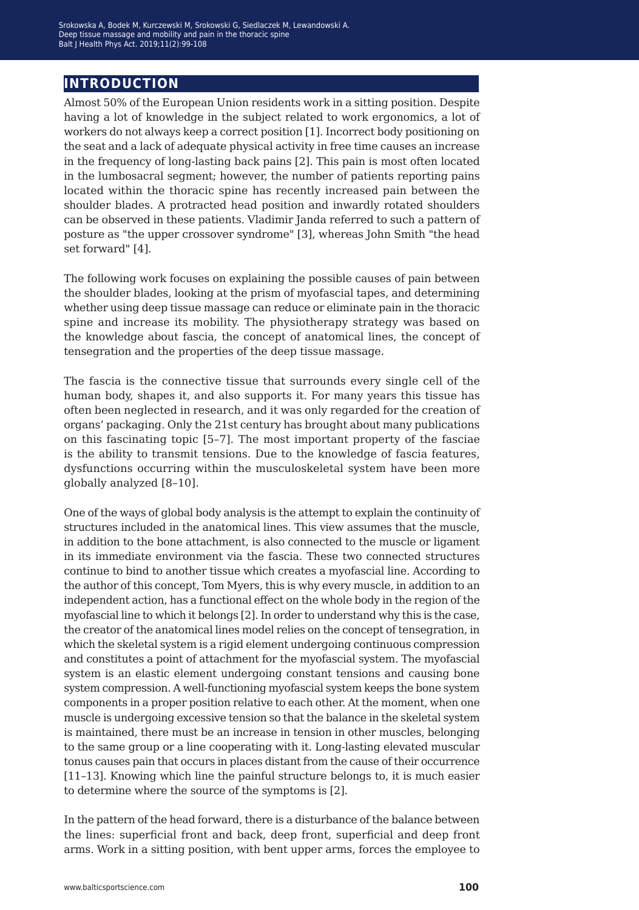## **introduction**

Almost 50% of the European Union residents work in a sitting position. Despite having a lot of knowledge in the subject related to work ergonomics, a lot of workers do not always keep a correct position [1]. Incorrect body positioning on the seat and a lack of adequate physical activity in free time causes an increase in the frequency of long-lasting back pains [2]. This pain is most often located in the lumbosacral segment; however, the number of patients reporting pains located within the thoracic spine has recently increased pain between the shoulder blades. A protracted head position and inwardly rotated shoulders can be observed in these patients. Vladimir Janda referred to such a pattern of posture as "the upper crossover syndrome" [3], whereas John Smith "the head set forward" [4].

The following work focuses on explaining the possible causes of pain between the shoulder blades, looking at the prism of myofascial tapes, and determining whether using deep tissue massage can reduce or eliminate pain in the thoracic spine and increase its mobility. The physiotherapy strategy was based on the knowledge about fascia, the concept of anatomical lines, the concept of tensegration and the properties of the deep tissue massage.

The fascia is the connective tissue that surrounds every single cell of the human body, shapes it, and also supports it. For many years this tissue has often been neglected in research, and it was only regarded for the creation of organs' packaging. Only the 21st century has brought about many publications on this fascinating topic [5–7]. The most important property of the fasciae is the ability to transmit tensions. Due to the knowledge of fascia features, dysfunctions occurring within the musculoskeletal system have been more globally analyzed [8–10].

One of the ways of global body analysis is the attempt to explain the continuity of structures included in the anatomical lines. This view assumes that the muscle, in addition to the bone attachment, is also connected to the muscle or ligament in its immediate environment via the fascia. These two connected structures continue to bind to another tissue which creates a myofascial line. According to the author of this concept, Tom Myers, this is why every muscle, in addition to an independent action, has a functional effect on the whole body in the region of the myofascial line to which it belongs [2]. In order to understand why this is the case, the creator of the anatomical lines model relies on the concept of tensegration, in which the skeletal system is a rigid element undergoing continuous compression and constitutes a point of attachment for the myofascial system. The myofascial system is an elastic element undergoing constant tensions and causing bone system compression. A well-functioning myofascial system keeps the bone system components in a proper position relative to each other. At the moment, when one muscle is undergoing excessive tension so that the balance in the skeletal system is maintained, there must be an increase in tension in other muscles, belonging to the same group or a line cooperating with it. Long-lasting elevated muscular tonus causes pain that occurs in places distant from the cause of their occurrence [11–13]. Knowing which line the painful structure belongs to, it is much easier to determine where the source of the symptoms is [2].

In the pattern of the head forward, there is a disturbance of the balance between the lines: superficial front and back, deep front, superficial and deep front arms. Work in a sitting position, with bent upper arms, forces the employee to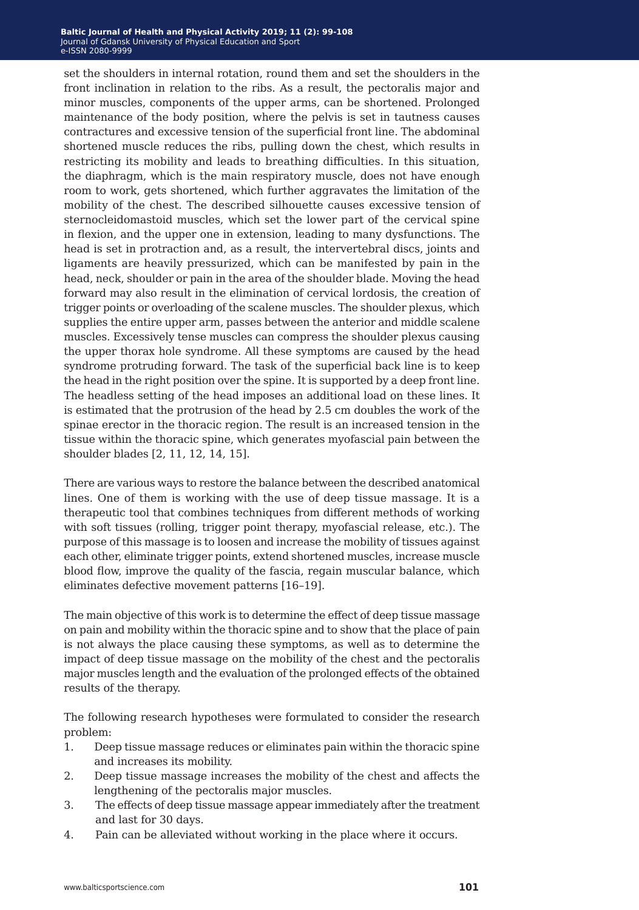#### **Baltic Journal of Health and Physical Activity 2014; 1(1): 1-4 Baltic Journal of Health and Physical Activity 2019; 11 (2): 99-108** Journal of Gdansk University of Physical Education and Sport Journal of Gdansk University of Physical Education and Sport e-ISSN 2080-9999 e-ISSN 2080-9999

set the shoulders in internal rotation, round them and set the shoulders in the front inclination in relation to the ribs. As a result, the pectoralis major and minor muscles, components of the upper arms, can be shortened. Prolonged maintenance of the body position, where the pelvis is set in tautness causes contractures and excessive tension of the superficial front line. The abdominal shortened muscle reduces the ribs, pulling down the chest, which results in restricting its mobility and leads to breathing difficulties. In this situation, the diaphragm, which is the main respiratory muscle, does not have enough room to work, gets shortened, which further aggravates the limitation of the mobility of the chest. The described silhouette causes excessive tension of sternocleidomastoid muscles, which set the lower part of the cervical spine in flexion, and the upper one in extension, leading to many dysfunctions. The head is set in protraction and, as a result, the intervertebral discs, joints and ligaments are heavily pressurized, which can be manifested by pain in the head, neck, shoulder or pain in the area of the shoulder blade. Moving the head forward may also result in the elimination of cervical lordosis, the creation of trigger points or overloading of the scalene muscles. The shoulder plexus, which supplies the entire upper arm, passes between the anterior and middle scalene muscles. Excessively tense muscles can compress the shoulder plexus causing the upper thorax hole syndrome. All these symptoms are caused by the head syndrome protruding forward. The task of the superficial back line is to keep the head in the right position over the spine. It is supported by a deep front line. The headless setting of the head imposes an additional load on these lines. It is estimated that the protrusion of the head by 2.5 cm doubles the work of the spinae erector in the thoracic region. The result is an increased tension in the tissue within the thoracic spine, which generates myofascial pain between the shoulder blades [2, 11, 12, 14, 15].

There are various ways to restore the balance between the described anatomical lines. One of them is working with the use of deep tissue massage. It is a therapeutic tool that combines techniques from different methods of working with soft tissues (rolling, trigger point therapy, myofascial release, etc.). The purpose of this massage is to loosen and increase the mobility of tissues against each other, eliminate trigger points, extend shortened muscles, increase muscle blood flow, improve the quality of the fascia, regain muscular balance, which eliminates defective movement patterns [16–19].

The main objective of this work is to determine the effect of deep tissue massage on pain and mobility within the thoracic spine and to show that the place of pain is not always the place causing these symptoms, as well as to determine the impact of deep tissue massage on the mobility of the chest and the pectoralis major muscles length and the evaluation of the prolonged effects of the obtained results of the therapy.

The following research hypotheses were formulated to consider the research problem:

- 1. Deep tissue massage reduces or eliminates pain within the thoracic spine and increases its mobility.
- 2. Deep tissue massage increases the mobility of the chest and affects the lengthening of the pectoralis major muscles.
- 3. The effects of deep tissue massage appear immediately after the treatment and last for 30 days.
- 4. Pain can be alleviated without working in the place where it occurs.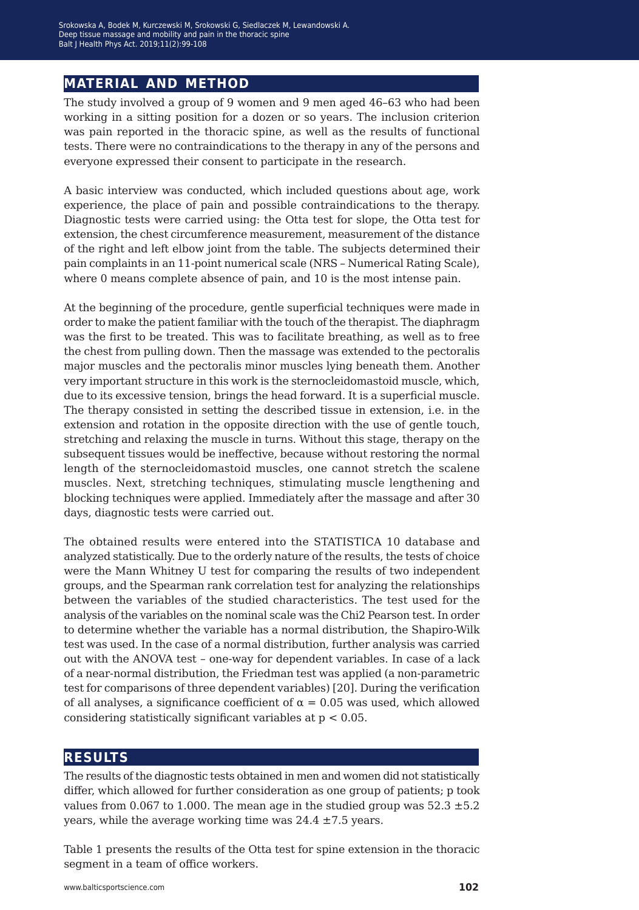# **material and method**

The study involved a group of 9 women and 9 men aged 46–63 who had been working in a sitting position for a dozen or so years. The inclusion criterion was pain reported in the thoracic spine, as well as the results of functional tests. There were no contraindications to the therapy in any of the persons and everyone expressed their consent to participate in the research.

A basic interview was conducted, which included questions about age, work experience, the place of pain and possible contraindications to the therapy. Diagnostic tests were carried using: the Otta test for slope, the Otta test for extension, the chest circumference measurement, measurement of the distance of the right and left elbow joint from the table. The subjects determined their pain complaints in an 11-point numerical scale (NRS – Numerical Rating Scale), where 0 means complete absence of pain, and 10 is the most intense pain.

At the beginning of the procedure, gentle superficial techniques were made in order to make the patient familiar with the touch of the therapist. The diaphragm was the first to be treated. This was to facilitate breathing, as well as to free the chest from pulling down. Then the massage was extended to the pectoralis major muscles and the pectoralis minor muscles lying beneath them. Another very important structure in this work is the sternocleidomastoid muscle, which, due to its excessive tension, brings the head forward. It is a superficial muscle. The therapy consisted in setting the described tissue in extension, i.e. in the extension and rotation in the opposite direction with the use of gentle touch, stretching and relaxing the muscle in turns. Without this stage, therapy on the subsequent tissues would be ineffective, because without restoring the normal length of the sternocleidomastoid muscles, one cannot stretch the scalene muscles. Next, stretching techniques, stimulating muscle lengthening and blocking techniques were applied. Immediately after the massage and after 30 days, diagnostic tests were carried out.

The obtained results were entered into the STATISTICA 10 database and analyzed statistically. Due to the orderly nature of the results, the tests of choice were the Mann Whitney U test for comparing the results of two independent groups, and the Spearman rank correlation test for analyzing the relationships between the variables of the studied characteristics. The test used for the analysis of the variables on the nominal scale was the Chi2 Pearson test. In order to determine whether the variable has a normal distribution, the Shapiro-Wilk test was used. In the case of a normal distribution, further analysis was carried out with the ANOVA test – one-way for dependent variables. In case of a lack of a near-normal distribution, the Friedman test was applied (a non-parametric test for comparisons of three dependent variables) [20]. During the verification of all analyses, a significance coefficient of  $\alpha = 0.05$  was used, which allowed considering statistically significant variables at p < 0.05.

## **results**

The results of the diagnostic tests obtained in men and women did not statistically differ, which allowed for further consideration as one group of patients; p took values from 0.067 to 1.000. The mean age in the studied group was  $52.3 \pm 5.2$ years, while the average working time was  $24.4 \pm 7.5$  years.

Table 1 presents the results of the Otta test for spine extension in the thoracic segment in a team of office workers.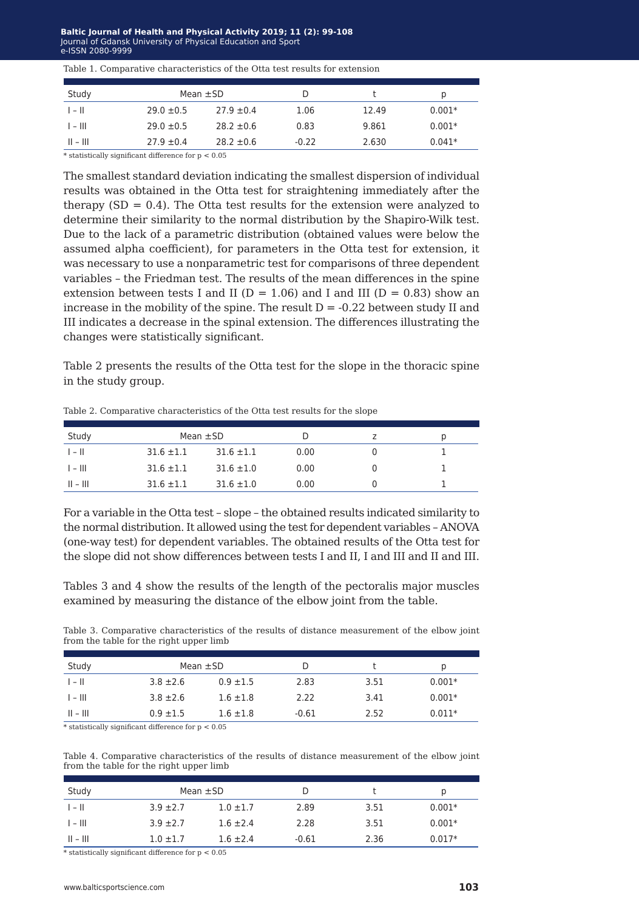| Table 1. Comparative characteristics of the Otta test results for extension |  |  |
|-----------------------------------------------------------------------------|--|--|
|-----------------------------------------------------------------------------|--|--|

| Study      |                | Mean $\pm$ SD  |         |       | p        |
|------------|----------------|----------------|---------|-------|----------|
| $1 - 11$   | $29.0 \pm 0.5$ | $27.9 \pm 0.4$ | 1.06    | 12.49 | $0.001*$ |
| $1 - 111$  | $29.0 \pm 0.5$ | $28.2 \pm 0.6$ | 0.83    | 9.861 | $0.001*$ |
| $   -    $ | $27.9 \pm 0.4$ | $28.2 \pm 0.6$ | $-0.22$ | 2.630 | $0.041*$ |

\* statistically significant difference for  $p < 0.05$ 

The smallest standard deviation indicating the smallest dispersion of individual results was obtained in the Otta test for straightening immediately after the therapy  $(SD = 0.4)$ . The Otta test results for the extension were analyzed to determine their similarity to the normal distribution by the Shapiro-Wilk test. Due to the lack of a parametric distribution (obtained values were below the assumed alpha coefficient), for parameters in the Otta test for extension, it was necessary to use a nonparametric test for comparisons of three dependent variables – the Friedman test. The results of the mean differences in the spine extension between tests I and II ( $D = 1.06$ ) and I and III ( $D = 0.83$ ) show an increase in the mobility of the spine. The result  $D = -0.22$  between study II and III indicates a decrease in the spinal extension. The differences illustrating the changes were statistically significant.

Table 2 presents the results of the Otta test for the slope in the thoracic spine in the study group.

| Study                   | Mean $\pm$ SD  |                |      | D |
|-------------------------|----------------|----------------|------|---|
| $\parallel - \parallel$ | $31.6 \pm 1.1$ | $31.6 \pm 1.1$ | 0.00 |   |
| $1 - 111$               | $31.6 \pm 1.1$ | $31.6 \pm 1.0$ | 0.00 |   |
| $   -    $              | $31.6 \pm 1.1$ | $31.6 \pm 1.0$ | 0.00 |   |

Table 2. Comparative characteristics of the Otta test results for the slope

For a variable in the Otta test – slope – the obtained results indicated similarity to the normal distribution. It allowed using the test for dependent variables – ANOVA (one-way test) for dependent variables. The obtained results of the Otta test for the slope did not show differences between tests I and II, I and III and II and III.

Tables 3 and 4 show the results of the length of the pectoralis major muscles examined by measuring the distance of the elbow joint from the table.

Table 3. Comparative characteristics of the results of distance measurement of the elbow joint from the table for the right upper limb

| Study                   | Mean $\pm$ SD |               | D       |      | D        |
|-------------------------|---------------|---------------|---------|------|----------|
| $\parallel - \parallel$ | $3.8 \pm 2.6$ | $0.9 \pm 1.5$ | 2.83    | 3.51 | $0.001*$ |
| $1 - 111$               | $3.8 \pm 2.6$ | $1.6 \pm 1.8$ | 2.22    | 3.41 | $0.001*$ |
| $   -    $              | $0.9 \pm 1.5$ | $1.6 \pm 1.8$ | $-0.61$ | 2.52 | $0.011*$ |

\* statistically significant difference for p < 0.05

Table 4. Comparative characteristics of the results of distance measurement of the elbow joint from the table for the right upper limb

| Study                   | Mean $\pm$ SD |               |         |      | D        |
|-------------------------|---------------|---------------|---------|------|----------|
| $\parallel - \parallel$ | $3.9 \pm 2.7$ | $1.0 \pm 1.7$ | 2.89    | 3.51 | $0.001*$ |
| $1 - 111$               | $3.9 \pm 2.7$ | $1.6 \pm 2.4$ | 2.28    | 3.51 | $0.001*$ |
| $   -    $              | $1.0 \pm 1.7$ | $1.6 \pm 2.4$ | $-0.61$ | 2.36 | $0.017*$ |

\* statistically significant difference for p < 0.05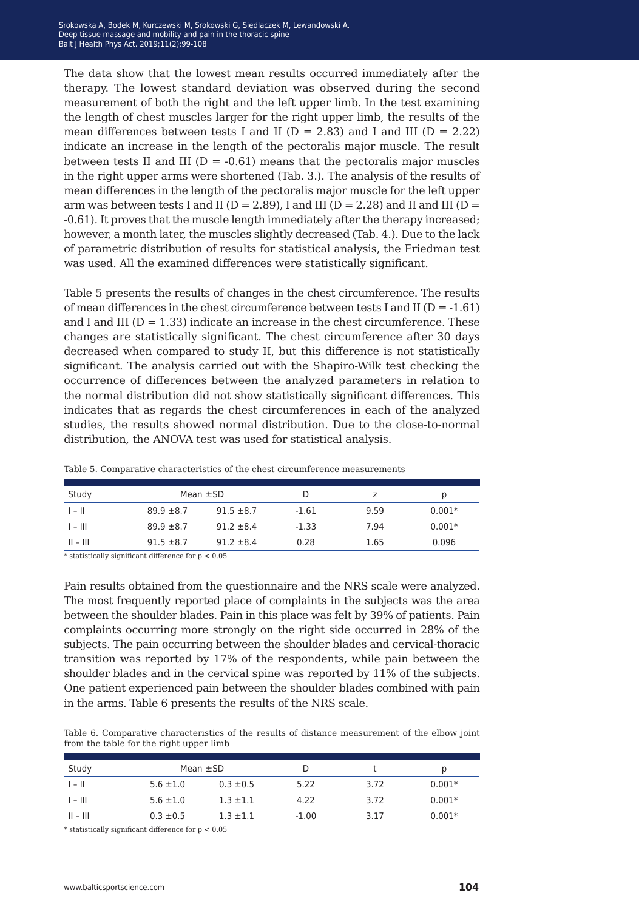The data show that the lowest mean results occurred immediately after the therapy. The lowest standard deviation was observed during the second measurement of both the right and the left upper limb. In the test examining the length of chest muscles larger for the right upper limb, the results of the mean differences between tests I and II ( $D = 2.83$ ) and I and III ( $D = 2.22$ ) indicate an increase in the length of the pectoralis major muscle. The result between tests II and III ( $D = -0.61$ ) means that the pectoralis major muscles in the right upper arms were shortened (Tab. 3.). The analysis of the results of mean differences in the length of the pectoralis major muscle for the left upper arm was between tests I and II ( $D = 2.89$ ), I and III ( $D = 2.28$ ) and II and III ( $D = 2.99$ ) -0.61). It proves that the muscle length immediately after the therapy increased; however, a month later, the muscles slightly decreased (Tab. 4.). Due to the lack of parametric distribution of results for statistical analysis, the Friedman test was used. All the examined differences were statistically significant.

Table 5 presents the results of changes in the chest circumference. The results of mean differences in the chest circumference between tests I and II ( $D = -1.61$ ) and I and III ( $D = 1.33$ ) indicate an increase in the chest circumference. These changes are statistically significant. The chest circumference after 30 days decreased when compared to study II, but this difference is not statistically significant. The analysis carried out with the Shapiro-Wilk test checking the occurrence of differences between the analyzed parameters in relation to the normal distribution did not show statistically significant differences. This indicates that as regards the chest circumferences in each of the analyzed studies, the results showed normal distribution. Due to the close-to-normal distribution, the ANOVA test was used for statistical analysis.

| Study      |                | Mean $\pm$ SD  |         | z    | p        |
|------------|----------------|----------------|---------|------|----------|
| $1 - 11$   | $89.9 \pm 8.7$ | $91.5 \pm 8.7$ | $-1.61$ | 9.59 | $0.001*$ |
| $1 - 111$  | $89.9 \pm 8.7$ | $91.2 \pm 8.4$ | $-1.33$ | 7.94 | $0.001*$ |
| $   -    $ | $91.5 \pm 8.7$ | $91.2 \pm 8.4$ | 0.28    | 1.65 | 0.096    |

Table 5. Comparative characteristics of the chest circumference measurements

 $*$  statistically significant difference for  $p < 0.05$ 

Pain results obtained from the questionnaire and the NRS scale were analyzed. The most frequently reported place of complaints in the subjects was the area between the shoulder blades. Pain in this place was felt by 39% of patients. Pain complaints occurring more strongly on the right side occurred in 28% of the subjects. The pain occurring between the shoulder blades and cervical-thoracic transition was reported by 17% of the respondents, while pain between the shoulder blades and in the cervical spine was reported by 11% of the subjects. One patient experienced pain between the shoulder blades combined with pain in the arms. Table 6 presents the results of the NRS scale.

Table 6. Comparative characteristics of the results of distance measurement of the elbow joint from the table for the right upper limb

| Study     | Mean $\pm$ SD |               |         |      |          |
|-----------|---------------|---------------|---------|------|----------|
| $1 - 11$  | $5.6 \pm 1.0$ | $0.3 \pm 0.5$ | 5.22    | 3.72 | $0.001*$ |
| $1 - 111$ | $5.6 \pm 1.0$ | $1.3 \pm 1.1$ | 4.22    | 3.72 | $0.001*$ |
| $   -   $ | $0.3 \pm 0.5$ | $1.3 \pm 1.1$ | $-1.00$ | 3.17 | $0.001*$ |

 $^{\ast}$  statistically significant difference for p  $<0.05$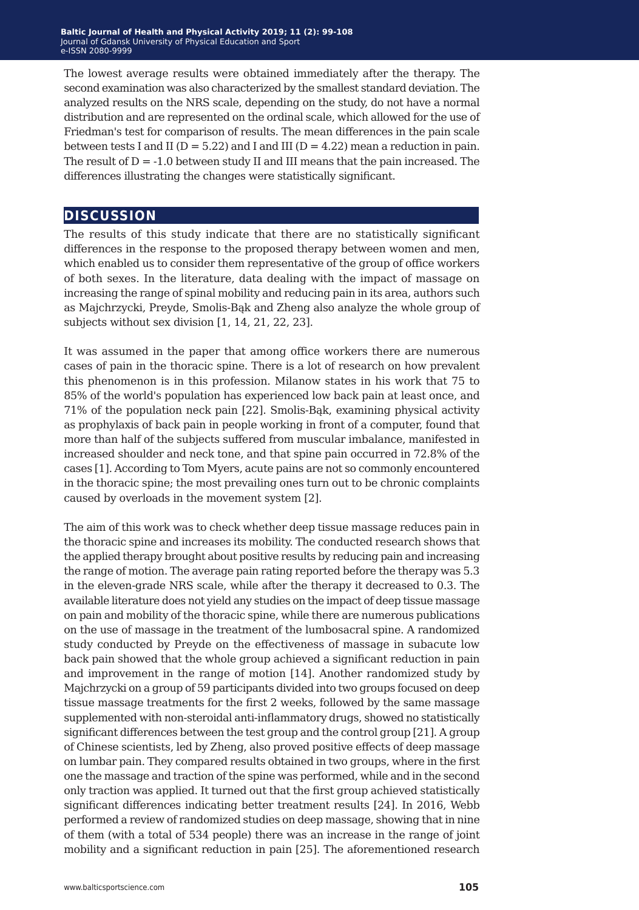The lowest average results were obtained immediately after the therapy. The second examination was also characterized by the smallest standard deviation. The analyzed results on the NRS scale, depending on the study, do not have a normal distribution and are represented on the ordinal scale, which allowed for the use of Friedman's test for comparison of results. The mean differences in the pain scale between tests I and II ( $D = 5.22$ ) and I and III ( $D = 4.22$ ) mean a reduction in pain. The result of  $D = -1.0$  between study II and III means that the pain increased. The differences illustrating the changes were statistically significant.

## **discussion**

The results of this study indicate that there are no statistically significant differences in the response to the proposed therapy between women and men, which enabled us to consider them representative of the group of office workers of both sexes. In the literature, data dealing with the impact of massage on increasing the range of spinal mobility and reducing pain in its area, authors such as Majchrzycki, Preyde, Smolis-Bąk and Zheng also analyze the whole group of subjects without sex division [1, 14, 21, 22, 23].

It was assumed in the paper that among office workers there are numerous cases of pain in the thoracic spine. There is a lot of research on how prevalent this phenomenon is in this profession. Milanow states in his work that 75 to 85% of the world's population has experienced low back pain at least once, and 71% of the population neck pain [22]. Smolis-Bąk, examining physical activity as prophylaxis of back pain in people working in front of a computer, found that more than half of the subjects suffered from muscular imbalance, manifested in increased shoulder and neck tone, and that spine pain occurred in 72.8% of the cases [1]. According to Tom Myers, acute pains are not so commonly encountered in the thoracic spine; the most prevailing ones turn out to be chronic complaints caused by overloads in the movement system [2].

The aim of this work was to check whether deep tissue massage reduces pain in the thoracic spine and increases its mobility. The conducted research shows that the applied therapy brought about positive results by reducing pain and increasing the range of motion. The average pain rating reported before the therapy was 5.3 in the eleven-grade NRS scale, while after the therapy it decreased to 0.3. The available literature does not yield any studies on the impact of deep tissue massage on pain and mobility of the thoracic spine, while there are numerous publications on the use of massage in the treatment of the lumbosacral spine. A randomized study conducted by Preyde on the effectiveness of massage in subacute low back pain showed that the whole group achieved a significant reduction in pain and improvement in the range of motion [14]. Another randomized study by Majchrzycki on a group of 59 participants divided into two groups focused on deep tissue massage treatments for the first 2 weeks, followed by the same massage supplemented with non-steroidal anti-inflammatory drugs, showed no statistically significant differences between the test group and the control group [21]. A group of Chinese scientists, led by Zheng, also proved positive effects of deep massage on lumbar pain. They compared results obtained in two groups, where in the first one the massage and traction of the spine was performed, while and in the second only traction was applied. It turned out that the first group achieved statistically significant differences indicating better treatment results [24]. In 2016, Webb performed a review of randomized studies on deep massage, showing that in nine of them (with a total of 534 people) there was an increase in the range of joint mobility and a significant reduction in pain [25]. The aforementioned research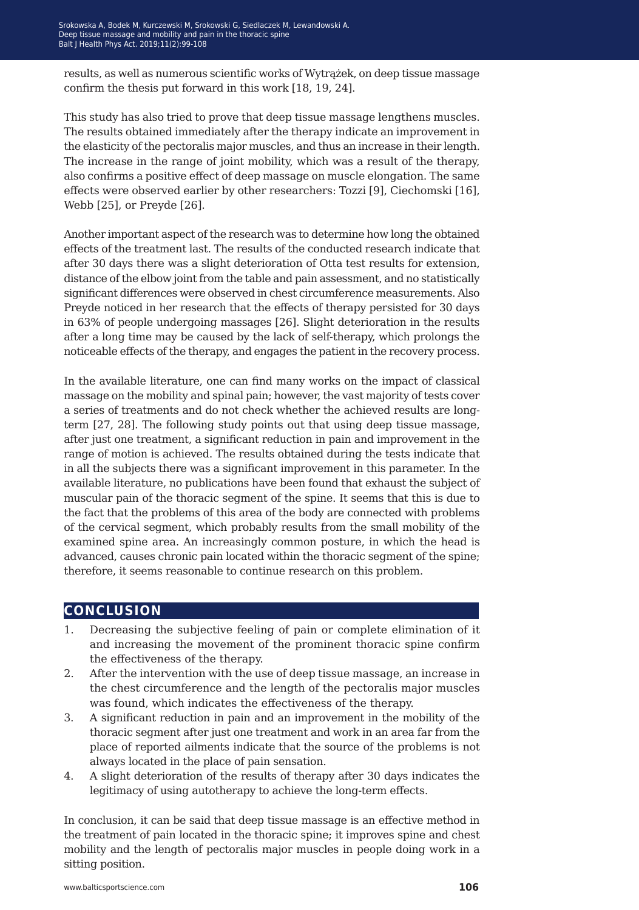results, as well as numerous scientific works of Wytrążek, on deep tissue massage confirm the thesis put forward in this work [18, 19, 24].

This study has also tried to prove that deep tissue massage lengthens muscles. The results obtained immediately after the therapy indicate an improvement in the elasticity of the pectoralis major muscles, and thus an increase in their length. The increase in the range of joint mobility, which was a result of the therapy, also confirms a positive effect of deep massage on muscle elongation. The same effects were observed earlier by other researchers: Tozzi [9], Ciechomski [16], Webb [25], or Preyde [26].

Another important aspect of the research was to determine how long the obtained effects of the treatment last. The results of the conducted research indicate that after 30 days there was a slight deterioration of Otta test results for extension, distance of the elbow joint from the table and pain assessment, and no statistically significant differences were observed in chest circumference measurements. Also Preyde noticed in her research that the effects of therapy persisted for 30 days in 63% of people undergoing massages [26]. Slight deterioration in the results after a long time may be caused by the lack of self-therapy, which prolongs the noticeable effects of the therapy, and engages the patient in the recovery process.

In the available literature, one can find many works on the impact of classical massage on the mobility and spinal pain; however, the vast majority of tests cover a series of treatments and do not check whether the achieved results are longterm [27, 28]. The following study points out that using deep tissue massage, after just one treatment, a significant reduction in pain and improvement in the range of motion is achieved. The results obtained during the tests indicate that in all the subjects there was a significant improvement in this parameter. In the available literature, no publications have been found that exhaust the subject of muscular pain of the thoracic segment of the spine. It seems that this is due to the fact that the problems of this area of the body are connected with problems of the cervical segment, which probably results from the small mobility of the examined spine area. An increasingly common posture, in which the head is advanced, causes chronic pain located within the thoracic segment of the spine; therefore, it seems reasonable to continue research on this problem.

## **conclusion**

- 1. Decreasing the subjective feeling of pain or complete elimination of it and increasing the movement of the prominent thoracic spine confirm the effectiveness of the therapy.
- 2. After the intervention with the use of deep tissue massage, an increase in the chest circumference and the length of the pectoralis major muscles was found, which indicates the effectiveness of the therapy.
- 3. A significant reduction in pain and an improvement in the mobility of the thoracic segment after just one treatment and work in an area far from the place of reported ailments indicate that the source of the problems is not always located in the place of pain sensation.
- 4. A slight deterioration of the results of therapy after 30 days indicates the legitimacy of using autotherapy to achieve the long-term effects.

In conclusion, it can be said that deep tissue massage is an effective method in the treatment of pain located in the thoracic spine; it improves spine and chest mobility and the length of pectoralis major muscles in people doing work in a sitting position.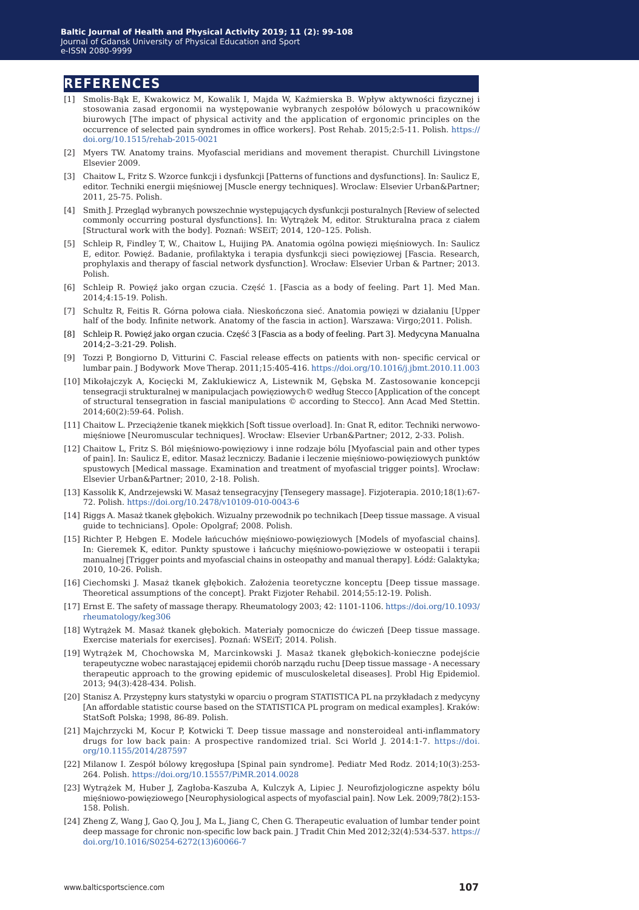#### **references**

- [1] Smolis-Bąk E, Kwakowicz M, Kowalik I, Majda W, Kaźmierska B. Wpływ aktywności fizycznej i stosowania zasad ergonomii na występowanie wybranych zespołów bólowych u pracowników biurowych [The impact of physical activity and the application of ergonomic principles on the occurrence of selected pain syndromes in office workers]. Post Rehab. 2015;2:5-11. Polish. [https://](https://doi.org/10.1515/rehab-2015-0021) [doi.org/10.1515/rehab-2015-0021](https://doi.org/10.1515/rehab-2015-0021)
- [2] Myers TW. Anatomy trains. Myofascial meridians and movement therapist. Churchill Livingstone Elsevier 2009.
- [3] Chaitow L, Fritz S, Wzorce funkcii i dysfunkcii [Patterns of functions and dysfunctions]. In: Saulicz E, editor. Techniki energii mięśniowej [Muscle energy techniques]. Wroclaw: Elsevier Urban&Partner; 2011, 25-75. Polish.
- [4] Smith J. Przegląd wybranych powszechnie występujących dysfunkcji posturalnych [Review of selected commonly occurring postural dysfunctions]. In: Wytrążek M, editor. Strukturalna praca z ciałem [Structural work with the body]. Poznań: WSEiT; 2014, 120–125. Polish.
- [5] Schleip R, Findley T, W., Chaitow L, Huijing PA. Anatomia ogólna powięzi mięśniowych. In: Saulicz E, editor. Powięź. Badanie, profilaktyka i terapia dysfunkcji sieci powięziowej [Fascia. Research, prophylaxis and therapy of fascial network dysfunction]. Wrocław: Elsevier Urban & Partner; 2013. Polish.
- [6] Schleip R. Powięź jako organ czucia. Część 1. [Fascia as a body of feeling. Part 1]. Med Man. 2014;4:15-19. Polish.
- [7] Schultz R, Feitis R. Górna połowa ciała. Nieskończona sieć. Anatomia powięzi w działaniu [Upper half of the body. Infinite network. Anatomy of the fascia in action]. Warszawa: Virgo;2011. Polish.
- [8] Schleip R. Powięź jako organ czucia. Część 3 [Fascia as a body of feeling. Part 3]. Medycyna Manualna 2014;2–3:21-29. Polish.
- [9] Tozzi P, Bongiorno D, Vitturini C. Fascial release effects on patients with non- specific cervical or lumbar pain. J Bodywork Move Therap. 2011;15:405-416. <https://doi.org/10.1016/j.jbmt.2010.11.003>
- [10] Mikołajczyk A, Kocięcki M, Zaklukiewicz A, Listewnik M, Gębska M. Zastosowanie koncepcji tensegracji strukturalnej w manipulacjach powięziowych© według Stecco [Application of the concept of structural tensegration in fascial manipulations © according to Stecco]. Ann Acad Med Stettin. 2014;60(2):59-64. Polish.
- [11] Chaitow L. Przeciążenie tkanek miękkich [Soft tissue overload]. In: Gnat R, editor. Techniki nerwowomięśniowe [Neuromuscular techniques]. Wrocław: Elsevier Urban&Partner; 2012, 2-33. Polish.
- [12] Chaitow L, Fritz S. Ból mięśniowo-powięziowy i inne rodzaje bólu [Myofascial pain and other types of pain]. In: Saulicz E, editor. Masaż leczniczy. Badanie i leczenie mięśniowo-powięziowych punktów spustowych [Medical massage. Examination and treatment of myofascial trigger points]. Wrocław: Elsevier Urban&Partner; 2010, 2-18. Polish.
- [13] Kassolik K, Andrzejewski W. Masaż tensegracyjny [Tensegery massage]. Fizjoterapia. 2010;18(1):67- 72. Polish. <https://doi.org/10.2478/v10109-010-0043-6>
- [14] Riggs A. Masaż tkanek głębokich. Wizualny przewodnik po technikach [Deep tissue massage. A visual guide to technicians]. Opole: Opolgraf; 2008. Polish.
- [15] Richter P, Hebgen E. Modele łańcuchów mięśniowo-powięziowych [Models of myofascial chains]. In: Gieremek K, editor. Punkty spustowe i łańcuchy mięśniowo-powięziowe w osteopatii i terapii manualnej [Trigger points and myofascial chains in osteopathy and manual therapy]. Łódź: Galaktyka; 2010, 10-26. Polish.
- [16] Ciechomski J. Masaż tkanek głębokich. Założenia teoretyczne konceptu [Deep tissue massage. Theoretical assumptions of the concept]. Prakt Fizjoter Rehabil. 2014;55:12-19. Polish.
- [17] Ernst E. The safety of massage therapy. Rheumatology 2003; 42: 1101-1106. [https://doi.org/10.1093/](https://doi.org/10.1093/rheumatology/keg306) [rheumatology/keg306](https://doi.org/10.1093/rheumatology/keg306)
- [18] Wytrążek M. Masaż tkanek głębokich. Materiały pomocnicze do ćwiczeń [Deep tissue massage. Exercise materials for exercises]. Poznań: WSEiT; 2014. Polish.
- [19] Wytrążek M, Chochowska M, Marcinkowski J. Masaż tkanek głębokich-konieczne podejście terapeutyczne wobec narastającej epidemii chorób narządu ruchu [Deep tissue massage - A necessary therapeutic approach to the growing epidemic of musculoskeletal diseases]. Probl Hig Epidemiol. 2013; 94(3):428-434. Polish.
- [20] Stanisz A. Przystępny kurs statystyki w oparciu o program STATISTICA PL na przykładach z medycyny [An affordable statistic course based on the STATISTICA PL program on medical examples]. Kraków: StatSoft Polska; 1998, 86-89. Polish.
- [21] Majchrzycki M, Kocur P, Kotwicki T. Deep tissue massage and nonsteroideal anti-inflammatory drugs for low back pain: A prospective randomized trial. Sci World J. 2014:1-7. [https://doi.](https://doi.org/10.1155/2014/287597) [org/10.1155/2014/287597](https://doi.org/10.1155/2014/287597)
- [22] Milanow I. Zespół bólowy kręgosłupa [Spinal pain syndrome]. Pediatr Med Rodz. 2014;10(3):253- 264. Polish.<https://doi.org/10.15557/PiMR.2014.0028>
- [23] Wytrążek M, Huber J, Zagłoba-Kaszuba A, Kulczyk A, Lipiec J. Neurofizjologiczne aspekty bólu mięśniowo-powięziowego [Neurophysiological aspects of myofascial pain]. Now Lek. 2009;78(2):153- 158. Polish.
- [24] Zheng Z, Wang J, Gao Q, Jou J, Ma L, Jiang C, Chen G. Therapeutic evaluation of lumbar tender point deep massage for chronic non-specific low back pain. J Tradit Chin Med 2012;32(4):534-537. [https://](https://doi.org/10.1016/S0254-6272(13)60066-7) [doi.org/10.1016/S0254-6272\(13\)60066-7](https://doi.org/10.1016/S0254-6272(13)60066-7)